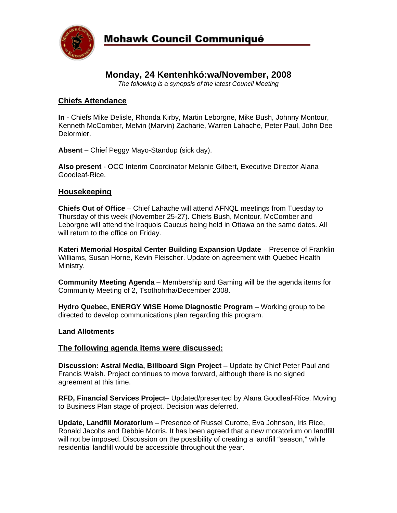

# **Monday, 24 Kentenhkó:wa/November, 2008**

*The following is a synopsis of the latest Council Meeting* 

## **Chiefs Attendance**

**In** - Chiefs Mike Delisle, Rhonda Kirby, Martin Leborgne, Mike Bush, Johnny Montour, Kenneth McComber, Melvin (Marvin) Zacharie, Warren Lahache, Peter Paul, John Dee Delormier.

**Absent** – Chief Peggy Mayo-Standup (sick day).

**Also present** - OCC Interim Coordinator Melanie Gilbert, Executive Director Alana Goodleaf-Rice.

## **Housekeeping**

**Chiefs Out of Office** – Chief Lahache will attend AFNQL meetings from Tuesday to Thursday of this week (November 25-27). Chiefs Bush, Montour, McComber and Leborgne will attend the Iroquois Caucus being held in Ottawa on the same dates. All will return to the office on Friday.

**Kateri Memorial Hospital Center Building Expansion Update** – Presence of Franklin Williams, Susan Horne, Kevin Fleischer. Update on agreement with Quebec Health Ministry.

**Community Meeting Agenda** – Membership and Gaming will be the agenda items for Community Meeting of 2, Tsothohrha/December 2008.

**Hydro Quebec, ENERGY WISE Home Diagnostic Program** – Working group to be directed to develop communications plan regarding this program.

### **Land Allotments**

### **The following agenda items were discussed:**

**Discussion: Astral Media, Billboard Sign Project** – Update by Chief Peter Paul and Francis Walsh. Project continues to move forward, although there is no signed agreement at this time.

**RFD, Financial Services Project**– Updated/presented by Alana Goodleaf-Rice. Moving to Business Plan stage of project. Decision was deferred.

**Update, Landfill Moratorium** – Presence of Russel Curotte, Eva Johnson, Iris Rice, Ronald Jacobs and Debbie Morris. It has been agreed that a new moratorium on landfill will not be imposed. Discussion on the possibility of creating a landfill "season," while residential landfill would be accessible throughout the year.